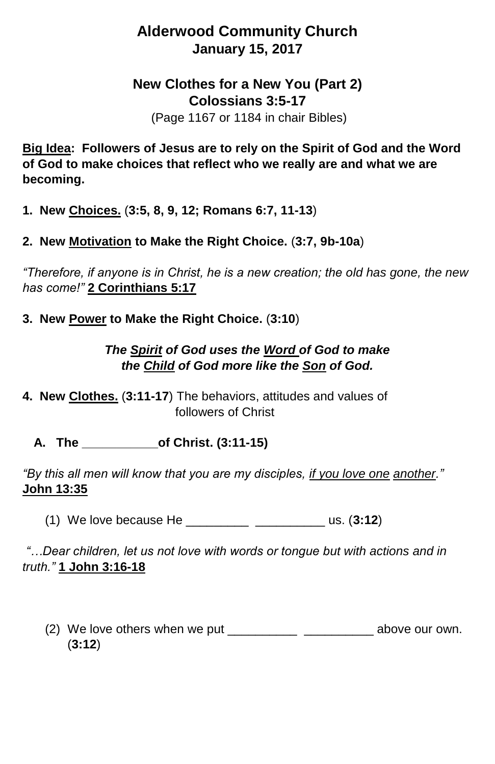## **Alderwood Community Church January 15, 2017**

## **New Clothes for a New You (Part 2) Colossians 3:5-17**

(Page 1167 or 1184 in chair Bibles)

**Big Idea: Followers of Jesus are to rely on the Spirit of God and the Word of God to make choices that reflect who we really are and what we are becoming.** 

**1. New Choices.** (**3:5, 8, 9, 12; Romans 6:7, 11-13**)

**2. New Motivation to Make the Right Choice.** (**3:7, 9b-10a**)

*"Therefore, if anyone is in Christ, he is a new creation; the old has gone, the new has come!"* **2 Corinthians 5:17**

**3. New Power to Make the Right Choice.** (**3:10**)

*The Spirit of God uses the Word of God to make the Child of God more like the Son of God.*

**4. New Clothes.** (**3:11-17**) The behaviors, attitudes and values of followers of Christ

**A. The \_\_\_\_\_\_\_\_\_\_\_of Christ. (3:11-15)**

*"By this all men will know that you are my disciples, if you love one another."*  **John 13:35**

(1) We love because He \_\_\_\_\_\_\_\_\_ \_\_\_\_\_\_\_\_\_\_ us. (**3:12**)

*"…Dear children, let us not love with words or tongue but with actions and in truth."* **1 John 3:16-18**

(2) We love others when we put \_\_\_\_\_\_\_\_\_\_\_\_\_\_\_\_\_\_\_\_\_\_\_\_\_\_\_\_\_\_\_ above our own. (**3:12**)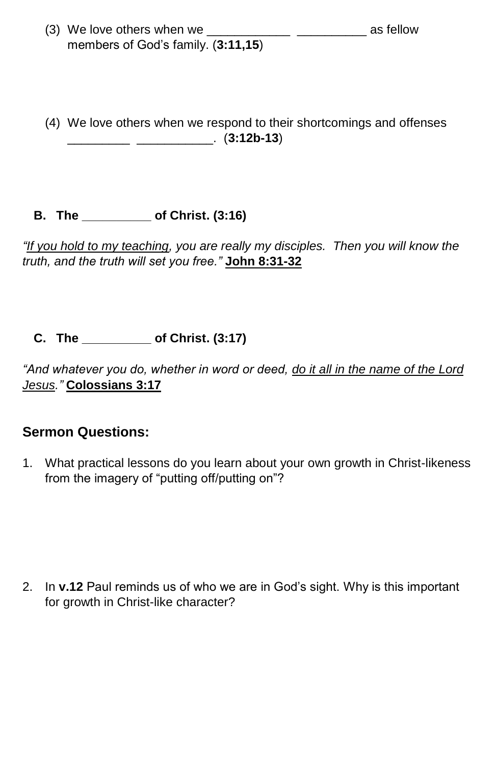- (3) We love others when we \_\_\_\_\_\_\_\_\_\_\_\_ \_\_\_\_\_\_\_\_\_\_ as fellow members of God's family. (**3:11,15**)
- (4) We love others when we respond to their shortcomings and offenses \_\_\_\_\_\_\_\_\_ \_\_\_\_\_\_\_\_\_\_\_. (**3:12b-13**)
- **B. The \_\_\_\_\_\_\_\_\_\_ of Christ. (3:16)**

*"If you hold to my teaching, you are really my disciples. Then you will know the truth, and the truth will set you free."* **John 8:31-32**

**C. The \_\_\_\_\_\_\_\_\_\_ of Christ. (3:17)**

*"And whatever you do, whether in word or deed, do it all in the name of the Lord Jesus."* **Colossians 3:17**

## **Sermon Questions:**

1. What practical lessons do you learn about your own growth in Christ-likeness from the imagery of "putting off/putting on"?

2. In **v.12** Paul reminds us of who we are in God's sight. Why is this important for growth in Christ-like character?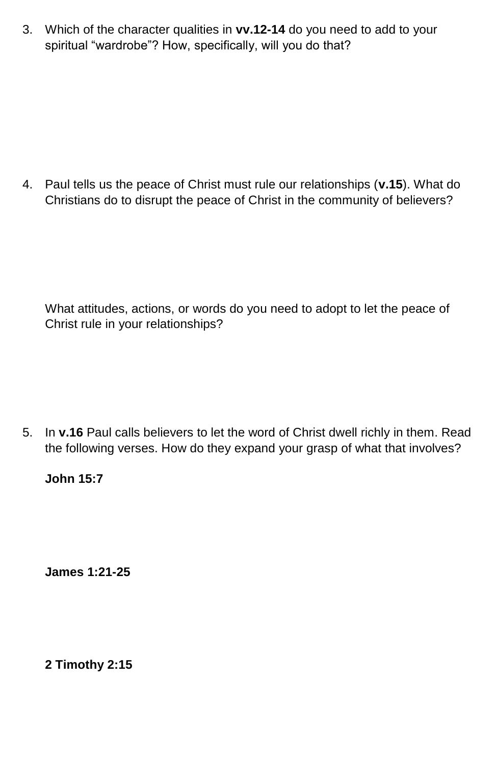3. Which of the character qualities in **vv.12-14** do you need to add to your spiritual "wardrobe"? How, specifically, will you do that?

4. Paul tells us the peace of Christ must rule our relationships (**v.15**). What do Christians do to disrupt the peace of Christ in the community of believers?

What attitudes, actions, or words do you need to adopt to let the peace of Christ rule in your relationships?

5. In **v.16** Paul calls believers to let the word of Christ dwell richly in them. Read the following verses. How do they expand your grasp of what that involves?

## **John 15:7**

**James 1:21-25**

**2 Timothy 2:15**